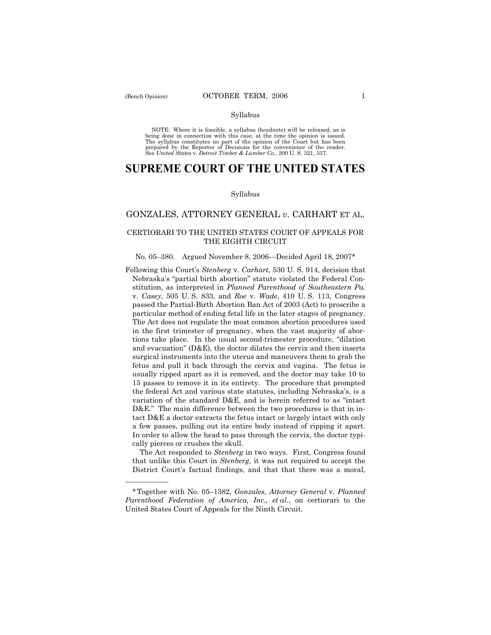NOTE: Where it is feasible, a syllabus (headnote) will be released, as is being done in connection with this case, at the time the opinion is issued. The syllabus constitutes no part of the opinion of the Court but has been<br>prepared by the Reporter of Decisions for the convenience of the reader.<br>See United States v. Detroit Timber & Lumber Co., 200 U. S. 321, 337.

# **SUPREME COURT OF THE UNITED STATES**

#### Syllabus

## GONZALES, ATTORNEY GENERAL *v*. CARHART ET AL.

### CERTIORARI TO THE UNITED STATES COURT OF APPEALS FOR THE EIGHTH CIRCUIT

#### No. 05–380. Argued November 8, 2006–Decided April 18, 2007\*

Following this Court's *Stenberg* v. *Carhart*, 530 U. S. 914, decision that Nebraska's "partial birth abortion" statute violated the Federal Constitution, as interpreted in *Planned Parenthood of Southeastern Pa.* v. *Casey*, 505 U. S. 833, and *Roe* v. *Wade*, 410 U. S. 113, Congress passed the Partial-Birth Abortion Ban Act of 2003 (Act) to proscribe a particular method of ending fetal life in the later stages of pregnancy. The Act does not regulate the most common abortion procedures used in the first trimester of pregnancy, when the vast majority of abortions take place. In the usual second-trimester procedure, "dilation and evacuation"  $(D&E)$ , the doctor dilates the cervix and then inserts surgical instruments into the uterus and maneuvers them to grab the fetus and pull it back through the cervix and vagina. The fetus is usually ripped apart as it is removed, and the doctor may take 10 to 15 passes to remove it in its entirety. The procedure that prompted the federal Act and various state statutes, including Nebraskaís, is a variation of the standard  $D&E$ , and is herein referred to as "intact  $D&E$ ." The main difference between the two procedures is that in intact D&E a doctor extracts the fetus intact or largely intact with only a few passes, pulling out its entire body instead of ripping it apart. In order to allow the head to pass through the cervix, the doctor typically pierces or crushes the skull.

 The Act responded to *Stenberg* in two ways. First, Congress found that unlike this Court in *Stenberg,* it was not required to accept the District Court's factual findings, and that that there was a moral,

óóóóóó

<sup>\*</sup>Together with No. 05-1382, *Gonzales, Attorney General* v. *Planned Parenthood Federation of America, Inc., et al.,* on certiorari to the United States Court of Appeals for the Ninth Circuit.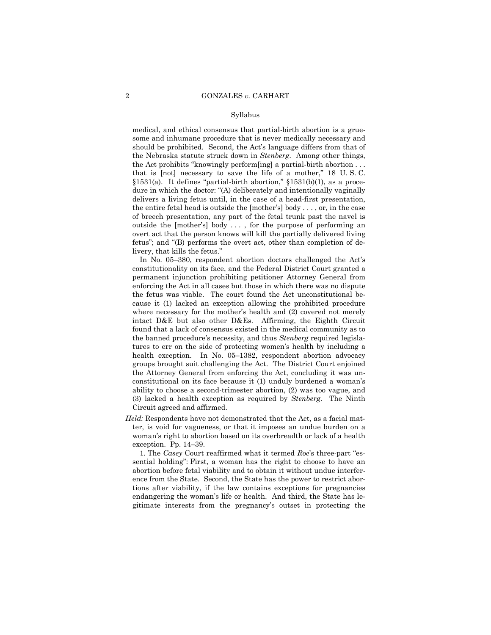medical, and ethical consensus that partial-birth abortion is a gruesome and inhumane procedure that is never medically necessary and should be prohibited. Second, the Act's language differs from that of the Nebraska statute struck down in *Stenberg*. Among other things, the Act prohibits "knowingly perform [ing] a partial-birth abortion  $\dots$ that is  $[not]$  necessary to save the life of a mother," 18 U.S.C.  $§1531(a)$ . It defines "partial-birth abortion,"  $§1531(b)(1)$ , as a procedure in which the doctor: "(A) deliberately and intentionally vaginally delivers a living fetus until, in the case of a head-first presentation, the entire fetal head is outside the [mother's] body  $\dots$ , or, in the case of breech presentation, any part of the fetal trunk past the navel is outside the [mother's] body ..., for the purpose of performing an overt act that the person knows will kill the partially delivered living fetus"; and " $(B)$  performs the overt act, other than completion of delivery, that kills the fetus."

In No. 05–380, respondent abortion doctors challenged the Act's constitutionality on its face, and the Federal District Court granted a permanent injunction prohibiting petitioner Attorney General from enforcing the Act in all cases but those in which there was no dispute the fetus was viable. The court found the Act unconstitutional because it (1) lacked an exception allowing the prohibited procedure where necessary for the mother's health and (2) covered not merely intact D&E but also other D&Es. Affirming, the Eighth Circuit found that a lack of consensus existed in the medical community as to the banned procedureís necessity, and thus *Stenberg* required legislatures to err on the side of protecting women's health by including a health exception. In No.  $05-1382$ , respondent abortion advocacy groups brought suit challenging the Act. The District Court enjoined the Attorney General from enforcing the Act, concluding it was unconstitutional on its face because it (1) unduly burdened a woman's ability to choose a second-trimester abortion, (2) was too vague, and (3) lacked a health exception as required by *Stenberg*. The Ninth Circuit agreed and affirmed.

*Held:* Respondents have not demonstrated that the Act, as a facial matter, is void for vagueness, or that it imposes an undue burden on a womanís right to abortion based on its overbreadth or lack of a health exception. Pp.  $14-39$ .

1. The *Casey* Court reaffirmed what it termed *Roe's* three-part "essential holdingî: First, a woman has the right to choose to have an abortion before fetal viability and to obtain it without undue interference from the State. Second, the State has the power to restrict abortions after viability, if the law contains exceptions for pregnancies endangering the woman's life or health. And third, the State has legitimate interests from the pregnancyís outset in protecting the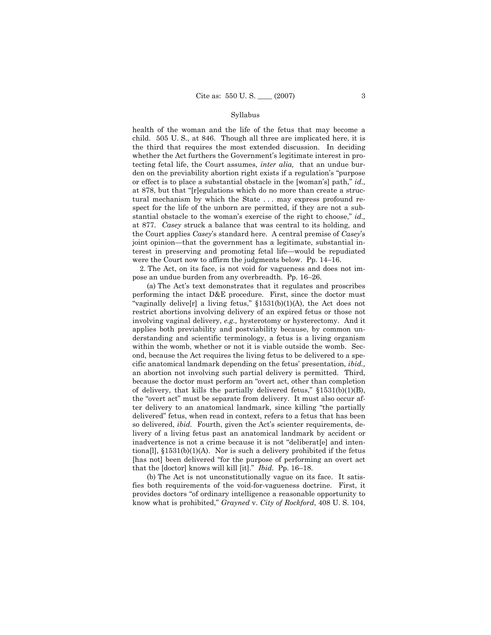health of the woman and the life of the fetus that may become a child. 505 U. S., at 846. Though all three are implicated here, it is the third that requires the most extended discussion. In deciding whether the Act furthers the Government's legitimate interest in protecting fetal life, the Court assumes, *inter alia,* that an undue burden on the previability abortion right exists if a regulation's "purpose or effect is to place a substantial obstacle in the [woman's] path," *id.*, at 878, but that "[r]egulations which do no more than create a structural mechanism by which the State . . . may express profound respect for the life of the unborn are permitted, if they are not a substantial obstacle to the woman's exercise of the right to choose," id., at 877. *Casey* struck a balance that was central to its holding, and the Court applies *Casey*ís standard here. A central premise of *Casey*ís joint opinion—that the government has a legitimate, substantial interest in preserving and promoting fetal life—would be repudiated were the Court now to affirm the judgments below. Pp.  $14-16$ .

 2. The Act, on its face, is not void for vagueness and does not impose an undue burden from any overbreadth. Pp. 16-26.

 (a) The Actís text demonstrates that it regulates and proscribes performing the intact D&E procedure. First, since the doctor must "vaginally delive<sup>[r]</sup> a living fetus,"  $$1531(b)(1)(A)$ , the Act does not restrict abortions involving delivery of an expired fetus or those not involving vaginal delivery, *e.g.,* hysterotomy or hysterectomy. And it applies both previability and postviability because, by common understanding and scientific terminology, a fetus is a living organism within the womb, whether or not it is viable outside the womb. Second, because the Act requires the living fetus to be delivered to a specific anatomical landmark depending on the fetusí presentation, *ibid.,* an abortion not involving such partial delivery is permitted. Third, because the doctor must perform an "overt act, other than completion of delivery, that kills the partially delivered fetus,"  $$1531(b)(1)(B)$ , the "overt act" must be separate from delivery. It must also occur after delivery to an anatomical landmark, since killing "the partially deliveredî fetus, when read in context, refers to a fetus that has been so delivered, *ibid.* Fourth, given the Act's scienter requirements, delivery of a living fetus past an anatomical landmark by accident or inadvertence is not a crime because it is not "deliberat[e] and intentiona[l],  $$1531(b)(1)(A)$ . Nor is such a delivery prohibited if the fetus [has not] been delivered "for the purpose of performing an overt act that the [doctor] knows will kill [it]." *Ibid.* Pp. 16–18.

 (b) The Act is not unconstitutionally vague on its face. It satisfies both requirements of the void-for-vagueness doctrine. First, it provides doctors "of ordinary intelligence a reasonable opportunity to know what is prohibited," *Grayned* v. *City of Rockford*, 408 U.S. 104,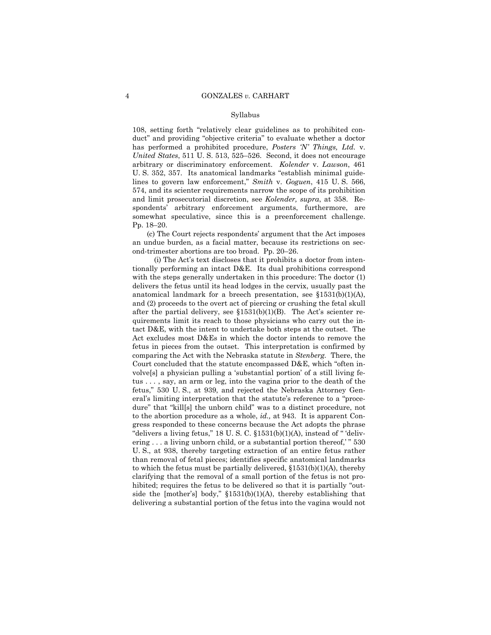108, setting forth "relatively clear guidelines as to prohibited conduct" and providing "objective criteria" to evaluate whether a doctor has performed a prohibited procedure, *Posters 'N' Things, Ltd.* v. *United States*, 511 U.S. 513, 525–526. Second, it does not encourage arbitrary or discriminatory enforcement. *Kolender* v. *Lawson*, 461 U. S. 352, 357. Its anatomical landmarks "establish minimal guidelines to govern law enforcement," *Smith* v. *Goguen*, 415 U.S. 566, 574, and its scienter requirements narrow the scope of its prohibition and limit prosecutorial discretion, see *Kolender, supra*, at 358. Respondentsí arbitrary enforcement arguments, furthermore, are somewhat speculative, since this is a preenforcement challenge. Pp. 18-20.

 (c) The Court rejects respondentsí argument that the Act imposes an undue burden, as a facial matter, because its restrictions on second-trimester abortions are too broad. Pp. 20–26.

 (i) The Actís text discloses that it prohibits a doctor from intentionally performing an intact D&E. Its dual prohibitions correspond with the steps generally undertaken in this procedure: The doctor (1) delivers the fetus until its head lodges in the cervix, usually past the anatomical landmark for a breech presentation, see  $$1531(b)(1)(A)$ , and (2) proceeds to the overt act of piercing or crushing the fetal skull after the partial delivery, see  $$1531(b)(1)(B)$ . The Act's scienter requirements limit its reach to those physicians who carry out the intact D&E, with the intent to undertake both steps at the outset. The Act excludes most D&Es in which the doctor intends to remove the fetus in pieces from the outset. This interpretation is confirmed by comparing the Act with the Nebraska statute in *Stenberg.* There, the Court concluded that the statute encompassed  $D&E$ , which "often involve<sup>[s]</sup> a physician pulling a 'substantial portion' of a still living fetus . . . , say, an arm or leg, into the vagina prior to the death of the fetus," 530 U.S., at 939, and rejected the Nebraska Attorney General's limiting interpretation that the statute's reference to a "procedure" that "kill[s] the unborn child" was to a distinct procedure, not to the abortion procedure as a whole, *id.,* at 943. It is apparent Congress responded to these concerns because the Act adopts the phrase "delivers a living fetus," 18 U. S. C.  $\S 1531(b)(1)(A)$ , instead of "'delivering  $\ldots$  a living unborn child, or a substantial portion thereof,  $\ddot{\hspace{0.5cm}}$  530 U. S., at 938, thereby targeting extraction of an entire fetus rather than removal of fetal pieces; identifies specific anatomical landmarks to which the fetus must be partially delivered,  $$1531(b)(1)(A)$ , thereby clarifying that the removal of a small portion of the fetus is not prohibited; requires the fetus to be delivered so that it is partially "outside the [mother's] body,"  $$1531(b)(1)(A)$ , thereby establishing that delivering a substantial portion of the fetus into the vagina would not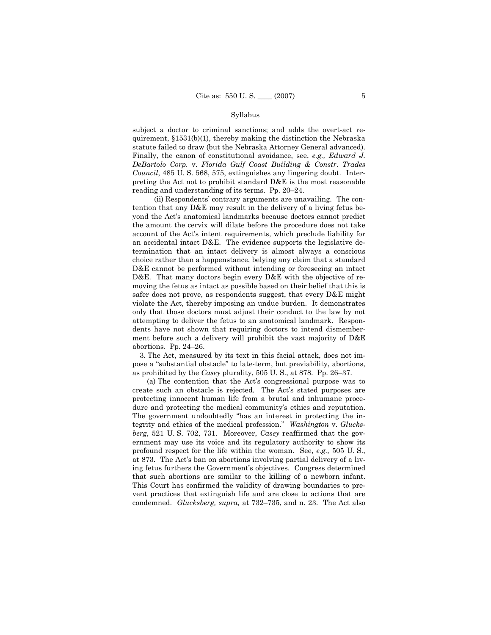subject a doctor to criminal sanctions; and adds the overt-act requirement,  $$1531(b)(1)$ , thereby making the distinction the Nebraska statute failed to draw (but the Nebraska Attorney General advanced). Finally, the canon of constitutional avoidance, see, *e.g., Edward J. DeBartolo Corp.* v. *Florida Gulf Coast Building & Constr. Trades Council*, 485 U. S. 568, 575, extinguishes any lingering doubt. Interpreting the Act not to prohibit standard D&E is the most reasonable reading and understanding of its terms. Pp.  $20-24$ .

(ii) Respondents' contrary arguments are unavailing. The contention that any D&E may result in the delivery of a living fetus beyond the Act's anatomical landmarks because doctors cannot predict the amount the cervix will dilate before the procedure does not take account of the Act's intent requirements, which preclude liability for an accidental intact D&E. The evidence supports the legislative determination that an intact delivery is almost always a conscious choice rather than a happenstance, belying any claim that a standard D&E cannot be performed without intending or foreseeing an intact D&E. That many doctors begin every D&E with the objective of removing the fetus as intact as possible based on their belief that this is safer does not prove, as respondents suggest, that every D&E might violate the Act, thereby imposing an undue burden. It demonstrates only that those doctors must adjust their conduct to the law by not attempting to deliver the fetus to an anatomical landmark. Respondents have not shown that requiring doctors to intend dismemberment before such a delivery will prohibit the vast majority of D&E abortions. Pp.  $24-26$ .

 3. The Act, measured by its text in this facial attack, does not impose a "substantial obstacle" to late-term, but previability, abortions, as prohibited by the *Casey* plurality, 505 U.S., at 878. Pp. 26–37.

 (a) The contention that the Actís congressional purpose was to create such an obstacle is rejected. The Actís stated purposes are protecting innocent human life from a brutal and inhumane procedure and protecting the medical community's ethics and reputation. The government undoubtedly "has an interest in protecting the integrity and ethics of the medical profession.î *Washington* v. *Glucksberg*, 521 U. S. 702, 731. Moreover, *Casey* reaffirmed that the government may use its voice and its regulatory authority to show its profound respect for the life within the woman. See, *e.g.,* 505 U. S., at 873. The Actís ban on abortions involving partial delivery of a living fetus furthers the Government's objectives. Congress determined that such abortions are similar to the killing of a newborn infant. This Court has confirmed the validity of drawing boundaries to prevent practices that extinguish life and are close to actions that are condemned. *Glucksberg, supra,* at 732-735, and n. 23. The Act also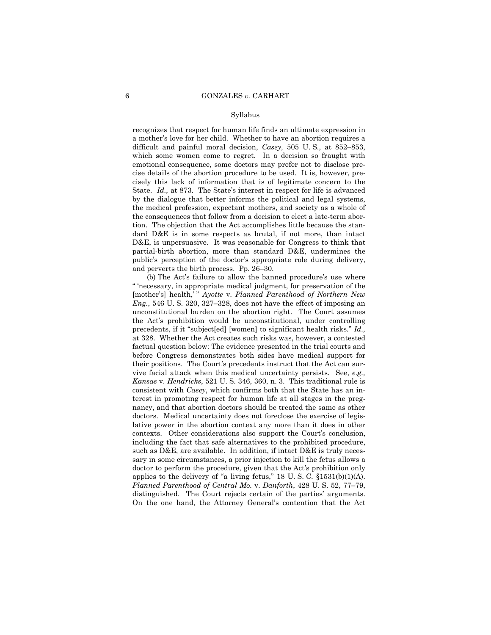recognizes that respect for human life finds an ultimate expression in a motherís love for her child. Whether to have an abortion requires a difficult and painful moral decision, *Casey*, 505 U.S., at 852–853, which some women come to regret. In a decision so fraught with emotional consequence, some doctors may prefer not to disclose precise details of the abortion procedure to be used. It is, however, precisely this lack of information that is of legitimate concern to the State. *Id.*, at 873. The State's interest in respect for life is advanced by the dialogue that better informs the political and legal systems, the medical profession, expectant mothers, and society as a whole of the consequences that follow from a decision to elect a late-term abortion. The objection that the Act accomplishes little because the standard D&E is in some respects as brutal, if not more, than intact D&E, is unpersuasive. It was reasonable for Congress to think that partial-birth abortion, more than standard D&E, undermines the public's perception of the doctor's appropriate role during delivery, and perverts the birth process. Pp.  $26-30$ .

(b) The Act's failure to allow the banned procedure's use where ì ënecessary, in appropriate medical judgment, for preservation of the [mother's] health,<sup>"</sup> *Ayotte* v. *Planned Parenthood of Northern New*  $Eng., 546$  U. S.  $320, 327-328$ , does not have the effect of imposing an unconstitutional burden on the abortion right. The Court assumes the Actís prohibition would be unconstitutional, under controlling precedents, if it "subject[ed] [women] to significant health risks." *Id.*, at 328. Whether the Act creates such risks was, however, a contested factual question below: The evidence presented in the trial courts and before Congress demonstrates both sides have medical support for their positions. The Court's precedents instruct that the Act can survive facial attack when this medical uncertainty persists. See, *e.g., Kansas* v. *Hendricks*, 521 U. S. 346, 360, n. 3. This traditional rule is consistent with *Casey*, which confirms both that the State has an interest in promoting respect for human life at all stages in the pregnancy, and that abortion doctors should be treated the same as other doctors. Medical uncertainty does not foreclose the exercise of legislative power in the abortion context any more than it does in other contexts. Other considerations also support the Court's conclusion, including the fact that safe alternatives to the prohibited procedure, such as D&E, are available. In addition, if intact D&E is truly necessary in some circumstances, a prior injection to kill the fetus allows a doctor to perform the procedure, given that the Act's prohibition only applies to the delivery of "a living fetus,"  $18$  U. S. C.  $$1531(b)(1)(A)$ . *Planned Parenthood of Central Mo. v. Danforth, 428 U.S. 52, 77-79,* distinguished. The Court rejects certain of the parties' arguments. On the one hand, the Attorney Generalís contention that the Act